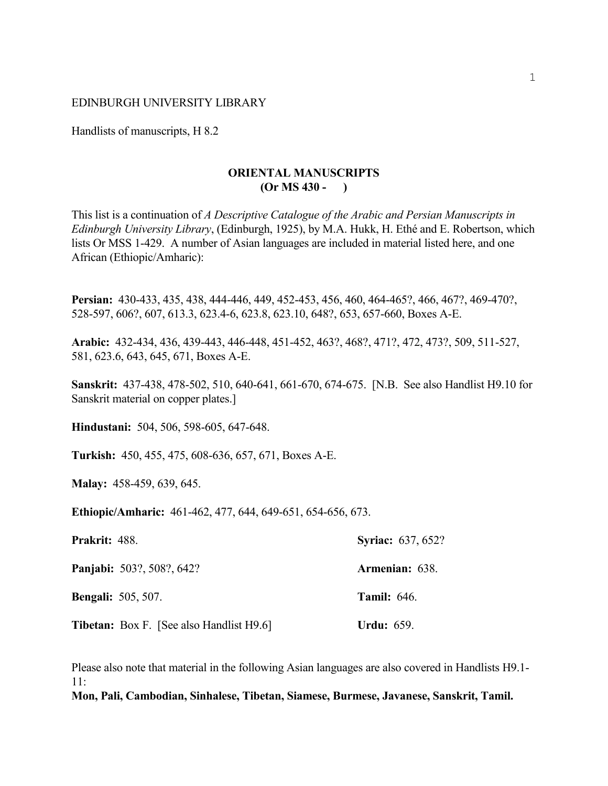#### EDINBURGH UNIVERSITY LIBRARY

Handlists of manuscripts, H 8.2

#### **ORIENTAL MANUSCRIPTS (Or MS 430 - )**

This list is a continuation of *A Descriptive Catalogue of the Arabic and Persian Manuscripts in Edinburgh University Library*, (Edinburgh, 1925), by M.A. Hukk, H. Ethé and E. Robertson, which lists Or MSS 1-429. A number of Asian languages are included in material listed here, and one African (Ethiopic/Amharic):

**Persian:** 430-433, 435, 438, 444-446, 449, 452-453, 456, 460, 464-465?, 466, 467?, 469-470?, 528-597, 606?, 607, 613.3, 623.4-6, 623.8, 623.10, 648?, 653, 657-660, Boxes A-E.

**Arabic:** 432-434, 436, 439-443, 446-448, 451-452, 463?, 468?, 471?, 472, 473?, 509, 511-527, 581, 623.6, 643, 645, 671, Boxes A-E.

**Sanskrit:** 437-438, 478-502, 510, 640-641, 661-670, 674-675. [N.B. See also Handlist H9.10 for Sanskrit material on copper plates.]

**Hindustani:** 504, 506, 598-605, 647-648.

**Turkish:** 450, 455, 475, 608-636, 657, 671, Boxes A-E.

**Malay:** 458-459, 639, 645.

**Ethiopic/Amharic:** 461-462, 477, 644, 649-651, 654-656, 673.

| <b>Prakrit: 488.</b>                            | <b>Syriac: 637, 652?</b> |
|-------------------------------------------------|--------------------------|
| <b>Panjabi:</b> 503?, 508?, 642?                | Armenian: 638.           |
| <b>Bengali:</b> 505, 507.                       | <b>Tamil:</b> 646.       |
| <b>Tibetan:</b> Box F. [See also Handlist H9.6] | Urdu: $659.$             |

Please also note that material in the following Asian languages are also covered in Handlists H9.1- 11:

**Mon, Pali, Cambodian, Sinhalese, Tibetan, Siamese, Burmese, Javanese, Sanskrit, Tamil.**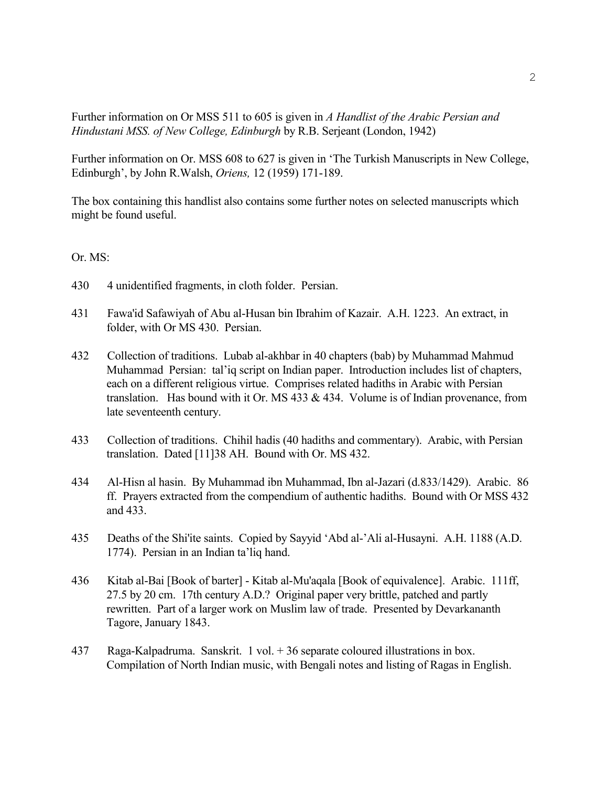Further information on Or MSS 511 to 605 is given in *A Handlist of the Arabic Persian and Hindustani MSS. of New College, Edinburgh* by R.B. Serjeant (London, 1942)

Further information on Or. MSS 608 to 627 is given in 'The Turkish Manuscripts in New College, Edinburgh', by John R.Walsh, *Oriens,* 12 (1959) 171-189.

The box containing this handlist also contains some further notes on selected manuscripts which might be found useful.

## Or. MS:

- 430 4 unidentified fragments, in cloth folder. Persian.
- 431 Fawa'id Safawiyah of Abu al-Husan bin Ibrahim of Kazair. A.H. 1223. An extract, in folder, with Or MS 430. Persian.
- 432 Collection of traditions. Lubab al-akhbar in 40 chapters (bab) by Muhammad Mahmud Muhammad Persian: tal'iq script on Indian paper. Introduction includes list of chapters, each on a different religious virtue. Comprises related hadiths in Arabic with Persian translation. Has bound with it Or. MS 433 & 434. Volume is of Indian provenance, from late seventeenth century.
- 433 Collection of traditions. Chihil hadis (40 hadiths and commentary). Arabic, with Persian translation. Dated [11]38 AH. Bound with Or. MS 432.
- 434 Al-Hisn al hasin. By Muhammad ibn Muhammad, Ibn al-Jazari (d.833/1429). Arabic. 86 ff. Prayers extracted from the compendium of authentic hadiths. Bound with Or MSS 432 and 433.
- 435 Deaths of the Shi'ite saints. Copied by Sayyid 'Abd al-'Ali al-Husayni. A.H. 1188 (A.D. 1774). Persian in an Indian ta'liq hand.
- 436 Kitab al-Bai [Book of barter] Kitab al-Mu'aqala [Book of equivalence]. Arabic. 111ff, 27.5 by 20 cm. 17th century A.D.? Original paper very brittle, patched and partly rewritten. Part of a larger work on Muslim law of trade. Presented by Devarkananth Tagore, January 1843.
- 437 Raga-Kalpadruma. Sanskrit. 1 vol. + 36 separate coloured illustrations in box. Compilation of North Indian music, with Bengali notes and listing of Ragas in English.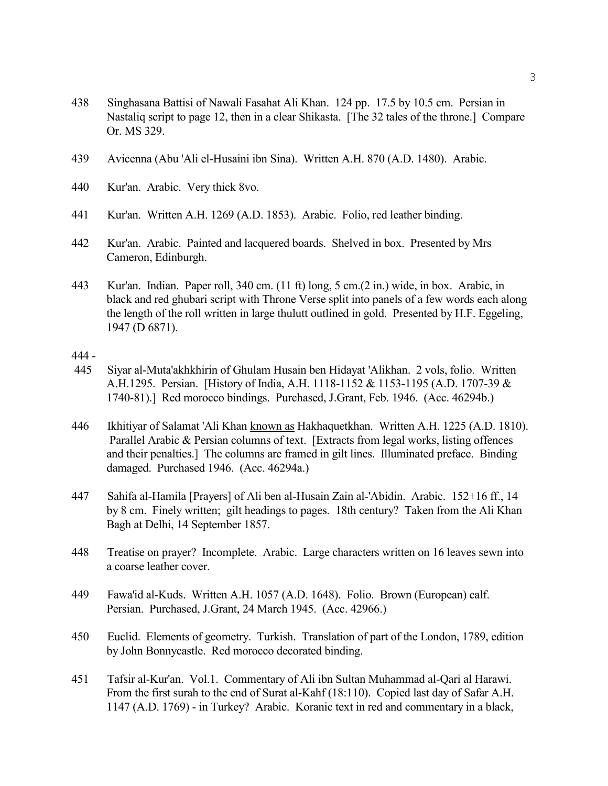- 438 Singhasana Battisi of Nawali Fasahat Ali Khan. 124 pp. 17.5 by 10.5 cm. Persian in Nastaliq script to page 12, then in a clear Shikasta. [The 32 tales of the throne.] Compare Or. MS 329.
- 439 Avicenna (Abu 'Ali el-Husaini ibn Sina). Written A.H. 870 (A.D. 1480). Arabic.
- 440 Kur'an. Arabic. Very thick 8vo.
- 441 Kur'an. Written A.H. 1269 (A.D. 1853). Arabic. Folio, red leather binding.
- 442 Kur'an. Arabic. Painted and lacquered boards. Shelved in box. Presented by Mrs Cameron, Edinburgh.
- 443 Kur'an. Indian. Paper roll, 340 cm. (11 ft) long, 5 cm.(2 in.) wide, in box. Arabic, in black and red ghubari script with Throne Verse split into panels of a few words each along the length of the roll written in large thulutt outlined in gold. Presented by H.F. Eggeling, 1947 (D 6871).

## 444 -

- 445 Siyar al-Muta'akhkhirin of Ghulam Husain ben Hidayat 'Alikhan. 2 vols, folio. Written A.H.1295. Persian. [History of India, A.H. 1118-1152 & 1153-1195 (A.D. 1707-39 & 1740-81).] Red morocco bindings. Purchased, J.Grant, Feb. 1946. (Acc. 46294b.)
- 446 Ikhitiyar of Salamat 'Ali Khan known as Hakhaquetkhan. Written A.H. 1225 (A.D. 1810). Parallel Arabic & Persian columns of text. [Extracts from legal works, listing offences] and their penalties.] The columns are framed in gilt lines. Illuminated preface. Binding damaged. Purchased 1946. (Acc. 46294a.)
- 447 Sahifa al-Hamila [Prayers] of Ali ben al-Husain Zain al-'Abidin. Arabic. 152+16 ff., 14 by 8 cm. Finely written; gilt headings to pages. 18th century? Taken from the Ali Khan Bagh at Delhi, 14 September 1857.
- 448 Treatise on prayer? Incomplete. Arabic. Large characters written on 16 leaves sewn into a coarse leather cover.
- 449 Fawa'id al-Kuds. Written A.H. 1057 (A.D. 1648). Folio. Brown (European) calf. Persian. Purchased, J.Grant, 24 March 1945. (Acc. 42966.)
- 450 Euclid. Elements of geometry. Turkish. Translation of part of the London, 1789, edition by John Bonnycastle. Red morocco decorated binding.
- 451 Tafsir al-Kur'an. Vol.1. Commentary of Ali ibn Sultan Muhammad al-Qari al Harawi. From the first surah to the end of Surat al-Kahf (18:110). Copied last day of Safar A.H. 1147 (A.D. 1769) - in Turkey? Arabic. Koranic text in red and commentary in a black,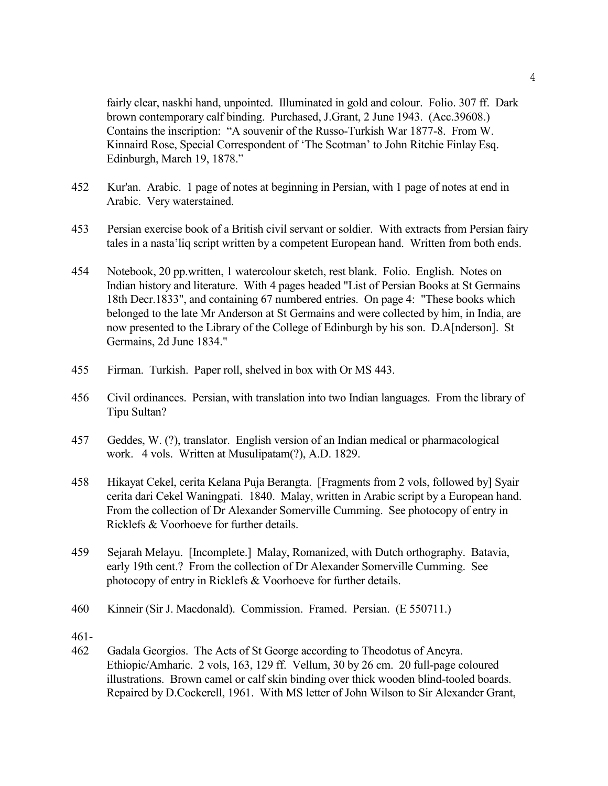fairly clear, naskhi hand, unpointed. Illuminated in gold and colour. Folio. 307 ff. Dark brown contemporary calf binding. Purchased, J.Grant, 2 June 1943. (Acc.39608.) Contains the inscription: "A souvenir of the Russo-Turkish War 1877-8. From W. Kinnaird Rose, Special Correspondent of 'The Scotman' to John Ritchie Finlay Esq. Edinburgh, March 19, 1878."

- 452 Kur'an. Arabic. 1 page of notes at beginning in Persian, with 1 page of notes at end in Arabic. Very waterstained.
- 453 Persian exercise book of a British civil servant or soldier. With extracts from Persian fairy tales in a nasta'liq script written by a competent European hand. Written from both ends.
- 454 Notebook, 20 pp.written, 1 watercolour sketch, rest blank. Folio. English. Notes on Indian history and literature. With 4 pages headed "List of Persian Books at St Germains 18th Decr.1833", and containing 67 numbered entries. On page 4: "These books which belonged to the late Mr Anderson at St Germains and were collected by him, in India, are now presented to the Library of the College of Edinburgh by his son. D.A[nderson]. St Germains, 2d June 1834."
- 455 Firman. Turkish. Paper roll, shelved in box with Or MS 443.
- 456 Civil ordinances. Persian, with translation into two Indian languages. From the library of Tipu Sultan?
- 457 Geddes, W. (?), translator. English version of an Indian medical or pharmacological work. 4 vols. Written at Musulipatam(?), A.D. 1829.
- 458 Hikayat Cekel, cerita Kelana Puja Berangta. [Fragments from 2 vols, followed by] Syair cerita dari Cekel Waningpati. 1840. Malay, written in Arabic script by a European hand. From the collection of Dr Alexander Somerville Cumming. See photocopy of entry in Ricklefs & Voorhoeve for further details.
- 459 Sejarah Melayu. [Incomplete.] Malay, Romanized, with Dutch orthography. Batavia, early 19th cent.? From the collection of Dr Alexander Somerville Cumming. See photocopy of entry in Ricklefs & Voorhoeve for further details.
- 460 Kinneir (Sir J. Macdonald). Commission. Framed. Persian. (E 550711.)
- 461-
- 462 Gadala Georgios. The Acts of St George according to Theodotus of Ancyra. Ethiopic/Amharic. 2 vols, 163, 129 ff. Vellum, 30 by 26 cm. 20 full-page coloured illustrations. Brown camel or calf skin binding over thick wooden blind-tooled boards. Repaired by D.Cockerell, 1961. With MS letter of John Wilson to Sir Alexander Grant,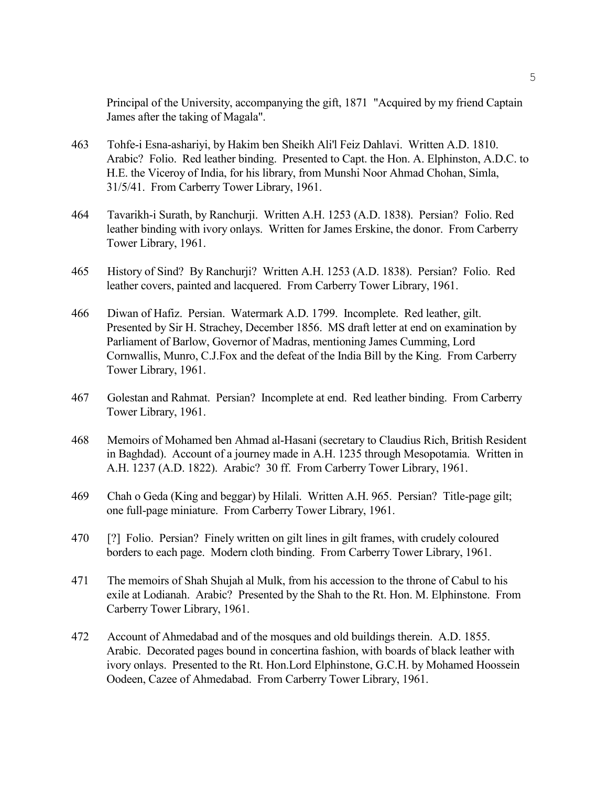Principal of the University, accompanying the gift, 1871 "Acquired by my friend Captain James after the taking of Magala".

- 463 Tohfe-i Esna-ashariyi, by Hakim ben Sheikh Ali'l Feiz Dahlavi. Written A.D. 1810. Arabic? Folio. Red leather binding. Presented to Capt. the Hon. A. Elphinston, A.D.C. to H.E. the Viceroy of India, for his library, from Munshi Noor Ahmad Chohan, Simla, 31/5/41. From Carberry Tower Library, 1961.
- 464 Tavarikh-i Surath, by Ranchurji. Written A.H. 1253 (A.D. 1838). Persian? Folio. Red leather binding with ivory onlays. Written for James Erskine, the donor. From Carberry Tower Library, 1961.
- 465 History of Sind? By Ranchurji? Written A.H. 1253 (A.D. 1838). Persian? Folio. Red leather covers, painted and lacquered. From Carberry Tower Library, 1961.
- 466 Diwan of Hafiz. Persian. Watermark A.D. 1799. Incomplete. Red leather, gilt. Presented by Sir H. Strachey, December 1856. MS draft letter at end on examination by Parliament of Barlow, Governor of Madras, mentioning James Cumming, Lord Cornwallis, Munro, C.J.Fox and the defeat of the India Bill by the King. From Carberry Tower Library, 1961.
- 467 Golestan and Rahmat. Persian? Incomplete at end. Red leather binding. From Carberry Tower Library, 1961.
- 468 Memoirs of Mohamed ben Ahmad al-Hasani (secretary to Claudius Rich, British Resident in Baghdad). Account of a journey made in A.H. 1235 through Mesopotamia. Written in A.H. 1237 (A.D. 1822). Arabic? 30 ff. From Carberry Tower Library, 1961.
- 469 Chah o Geda (King and beggar) by Hilali. Written A.H. 965. Persian? Title-page gilt; one full-page miniature. From Carberry Tower Library, 1961.
- 470 [?] Folio. Persian? Finely written on gilt lines in gilt frames, with crudely coloured borders to each page. Modern cloth binding. From Carberry Tower Library, 1961.
- 471 The memoirs of Shah Shujah al Mulk, from his accession to the throne of Cabul to his exile at Lodianah. Arabic? Presented by the Shah to the Rt. Hon. M. Elphinstone. From Carberry Tower Library, 1961.
- 472 Account of Ahmedabad and of the mosques and old buildings therein. A.D. 1855. Arabic. Decorated pages bound in concertina fashion, with boards of black leather with ivory onlays. Presented to the Rt. Hon.Lord Elphinstone, G.C.H. by Mohamed Hoossein Oodeen, Cazee of Ahmedabad. From Carberry Tower Library, 1961.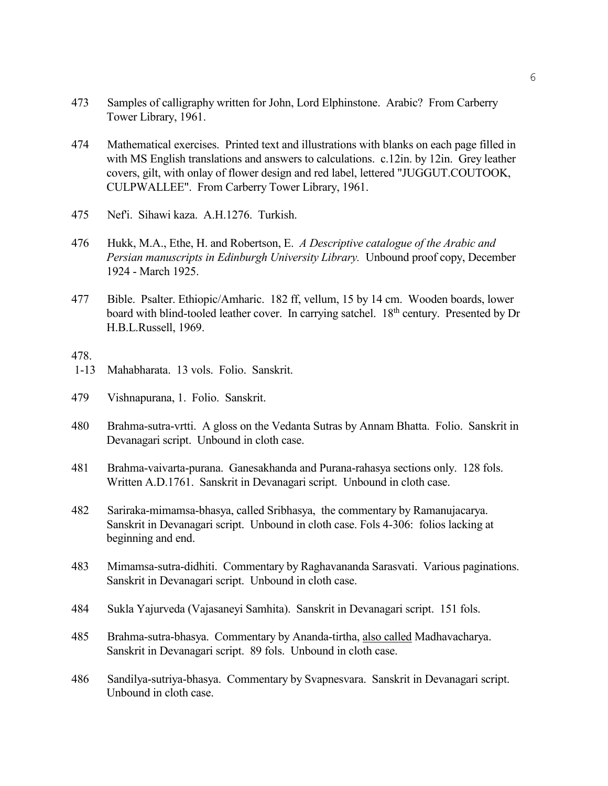- 473 Samples of calligraphy written for John, Lord Elphinstone. Arabic? From Carberry Tower Library, 1961.
- 474 Mathematical exercises. Printed text and illustrations with blanks on each page filled in with MS English translations and answers to calculations. c.12in. by 12in. Grey leather covers, gilt, with onlay of flower design and red label, lettered "JUGGUT.COUTOOK, CULPWALLEE". From Carberry Tower Library, 1961.
- 475 Nef'i. Sihawi kaza. A.H.1276. Turkish.
- 476 Hukk, M.A., Ethe, H. and Robertson, E. *A Descriptive catalogue of the Arabic and Persian manuscripts in Edinburgh University Library.* Unbound proof copy, December 1924 - March 1925.
- 477 Bible. Psalter. Ethiopic/Amharic. 182 ff, vellum, 15 by 14 cm. Wooden boards, lower board with blind-tooled leather cover. In carrying satchel. 18<sup>th</sup> century. Presented by Dr H.B.L.Russell, 1969.

- 1-13 Mahabharata. 13 vols. Folio. Sanskrit.
- 479 Vishnapurana, 1. Folio. Sanskrit.
- 480 Brahma-sutra-vrtti. A gloss on the Vedanta Sutras by Annam Bhatta. Folio. Sanskrit in Devanagari script. Unbound in cloth case.
- 481 Brahma-vaivarta-purana. Ganesakhanda and Purana-rahasya sections only. 128 fols. Written A.D.1761. Sanskrit in Devanagari script. Unbound in cloth case.
- 482 Sariraka-mimamsa-bhasya, called Sribhasya, the commentary by Ramanujacarya. Sanskrit in Devanagari script. Unbound in cloth case. Fols 4-306: folios lacking at beginning and end.
- 483 Mimamsa-sutra-didhiti. Commentary by Raghavananda Sarasvati. Various paginations. Sanskrit in Devanagari script. Unbound in cloth case.
- 484 Sukla Yajurveda (Vajasaneyi Samhita). Sanskrit in Devanagari script. 151 fols.
- 485 Brahma-sutra-bhasya. Commentary by Ananda-tirtha, also called Madhavacharya. Sanskrit in Devanagari script. 89 fols. Unbound in cloth case.
- 486 Sandilya-sutriya-bhasya. Commentary by Svapnesvara. Sanskrit in Devanagari script. Unbound in cloth case.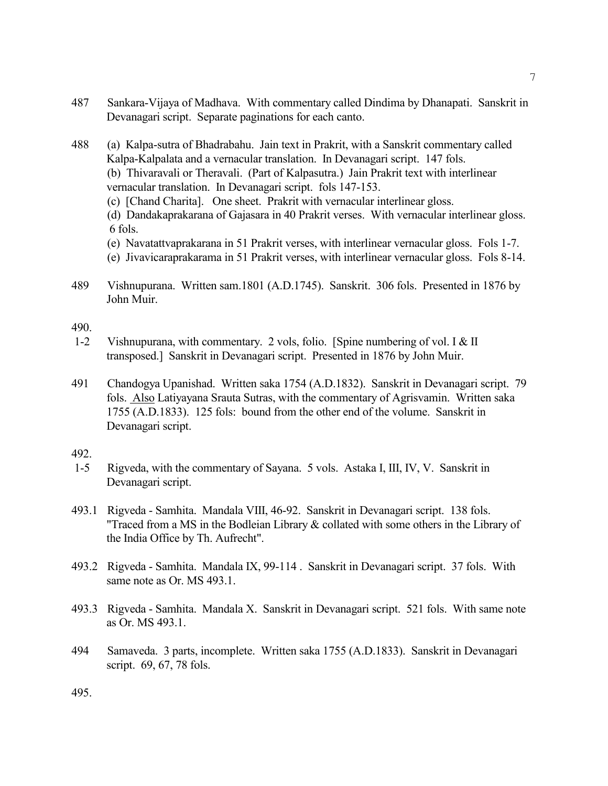- 487 Sankara-Vijaya of Madhava. With commentary called Dindima by Dhanapati. Sanskrit in Devanagari script. Separate paginations for each canto.
- 488 (a) Kalpa-sutra of Bhadrabahu. Jain text in Prakrit, with a Sanskrit commentary called Kalpa-Kalpalata and a vernacular translation. In Devanagari script. 147 fols. (b) Thivaravali or Theravali. (Part of Kalpasutra.) Jain Prakrit text with interlinear vernacular translation. In Devanagari script. fols 147-153.
	- (c) [Chand Charita]. One sheet. Prakrit with vernacular interlinear gloss.

(d) Dandakaprakarana of Gajasara in 40 Prakrit verses. With vernacular interlinear gloss. 6 fols.

- (e) Navatattvaprakarana in 51 Prakrit verses, with interlinear vernacular gloss. Fols 1-7.
- (e) Jivavicaraprakarama in 51 Prakrit verses, with interlinear vernacular gloss. Fols 8-14.
- 489 Vishnupurana. Written sam.1801 (A.D.1745). Sanskrit. 306 fols. Presented in 1876 by John Muir.

490.

- 1-2 Vishnupurana, with commentary. 2 vols, folio. [Spine numbering of vol. I & II transposed.] Sanskrit in Devanagari script. Presented in 1876 by John Muir.
- 491 Chandogya Upanishad. Written saka 1754 (A.D.1832). Sanskrit in Devanagari script. 79 fols. Also Latiyayana Srauta Sutras, with the commentary of Agrisvamin. Written saka 1755 (A.D.1833). 125 fols: bound from the other end of the volume. Sanskrit in Devanagari script.

- 1-5 Rigveda, with the commentary of Sayana. 5 vols. Astaka I, III, IV, V. Sanskrit in Devanagari script.
- 493.1 Rigveda Samhita. Mandala VIII, 46-92. Sanskrit in Devanagari script. 138 fols. "Traced from a MS in the Bodleian Library & collated with some others in the Library of the India Office by Th. Aufrecht".
- 493.2 Rigveda Samhita. Mandala IX, 99-114 . Sanskrit in Devanagari script. 37 fols. With same note as Or. MS 493.1.
- 493.3 Rigveda Samhita. Mandala X. Sanskrit in Devanagari script. 521 fols. With same note as Or. MS 493.1.
- 494 Samaveda. 3 parts, incomplete. Written saka 1755 (A.D.1833). Sanskrit in Devanagari script. 69, 67, 78 fols.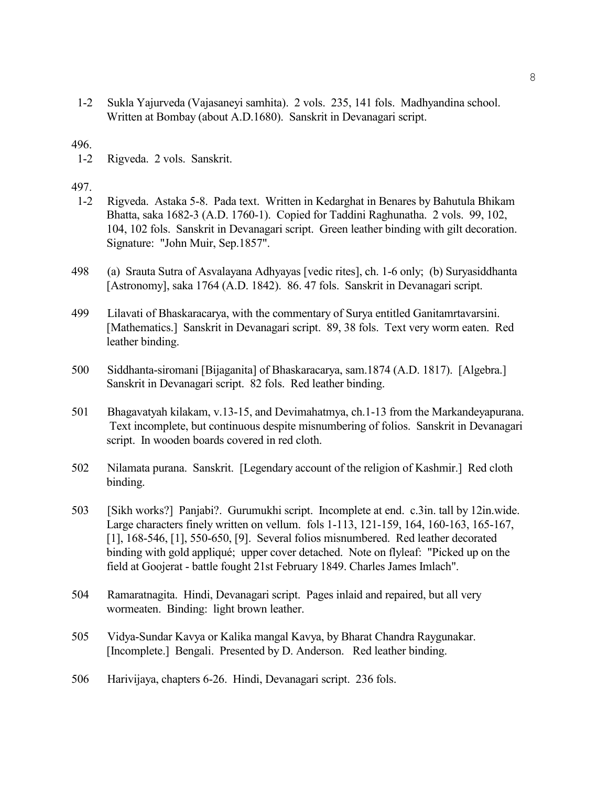1-2 Sukla Yajurveda (Vajasaneyi samhita). 2 vols. 235, 141 fols. Madhyandina school. Written at Bombay (about A.D.1680). Sanskrit in Devanagari script.

# 496.

1-2 Rigveda. 2 vols. Sanskrit.

- 1-2 Rigveda. Astaka 5-8. Pada text. Written in Kedarghat in Benares by Bahutula Bhikam Bhatta, saka 1682-3 (A.D. 1760-1). Copied for Taddini Raghunatha. 2 vols. 99, 102, 104, 102 fols. Sanskrit in Devanagari script. Green leather binding with gilt decoration. Signature: "John Muir, Sep.1857".
- 498 (a) Srauta Sutra of Asvalayana Adhyayas [vedic rites], ch. 1-6 only; (b) Suryasiddhanta [Astronomy], saka 1764 (A.D. 1842). 86. 47 fols. Sanskrit in Devanagari script.
- 499 Lilavati of Bhaskaracarya, with the commentary of Surya entitled Ganitamrtavarsini. [Mathematics.] Sanskrit in Devanagari script. 89, 38 fols. Text very worm eaten. Red leather binding.
- 500 Siddhanta-siromani [Bijaganita] of Bhaskaracarya, sam.1874 (A.D. 1817). [Algebra.] Sanskrit in Devanagari script. 82 fols. Red leather binding.
- 501 Bhagavatyah kilakam, v.13-15, and Devimahatmya, ch.1-13 from the Markandeyapurana. Text incomplete, but continuous despite misnumbering of folios. Sanskrit in Devanagari script. In wooden boards covered in red cloth.
- 502 Nilamata purana. Sanskrit. [Legendary account of the religion of Kashmir.] Red cloth binding.
- 503 [Sikh works?] Panjabi?. Gurumukhi script. Incomplete at end. c.3in. tall by 12in.wide. Large characters finely written on vellum. fols 1-113, 121-159, 164, 160-163, 165-167, [1], 168-546, [1], 550-650, [9]. Several folios misnumbered. Red leather decorated binding with gold appliqué; upper cover detached. Note on flyleaf: "Picked up on the field at Goojerat - battle fought 21st February 1849. Charles James Imlach".
- 504 Ramaratnagita. Hindi, Devanagari script. Pages inlaid and repaired, but all very wormeaten. Binding: light brown leather.
- 505 Vidya-Sundar Kavya or Kalika mangal Kavya, by Bharat Chandra Raygunakar. [Incomplete.] Bengali. Presented by D. Anderson. Red leather binding.
- 506 Harivijaya, chapters 6-26. Hindi, Devanagari script. 236 fols.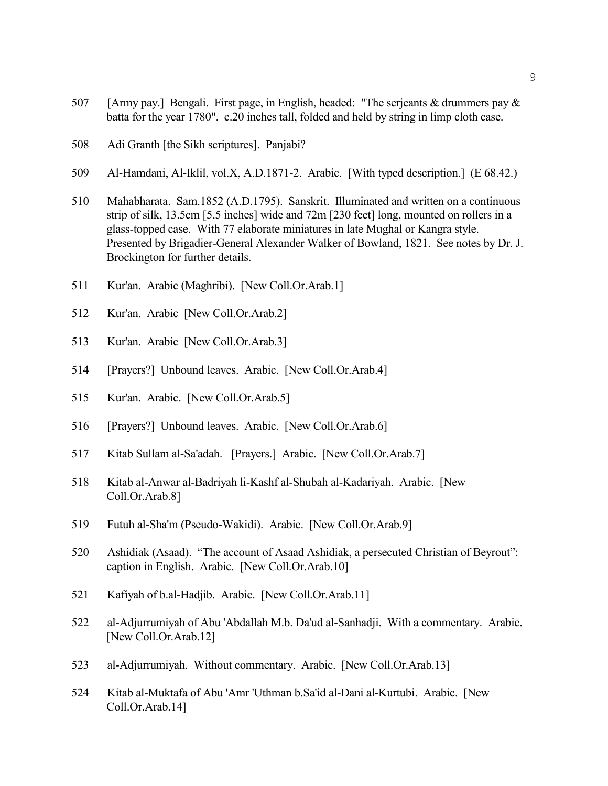- [Army pay.] Bengali. First page, in English, headed: "The serjeants & drummers pay & batta for the year 1780". c.20 inches tall, folded and held by string in limp cloth case.
- Adi Granth [the Sikh scriptures]. Panjabi?
- Al-Hamdani, Al-Iklil, vol.X, A.D.1871-2. Arabic. [With typed description.] (E 68.42.)
- Mahabharata. Sam.1852 (A.D.1795). Sanskrit. Illuminated and written on a continuous strip of silk, 13.5cm [5.5 inches] wide and 72m [230 feet] long, mounted on rollers in a glass-topped case. With 77 elaborate miniatures in late Mughal or Kangra style. Presented by Brigadier-General Alexander Walker of Bowland, 1821. See notes by Dr. J. Brockington for further details.
- Kur'an. Arabic (Maghribi). [New Coll.Or.Arab.1]
- Kur'an. Arabic [New Coll.Or.Arab.2]
- Kur'an. Arabic [New Coll.Or.Arab.3]
- [Prayers?] Unbound leaves. Arabic. [New Coll.Or.Arab.4]
- Kur'an. Arabic. [New Coll.Or.Arab.5]
- [Prayers?] Unbound leaves. Arabic. [New Coll.Or.Arab.6]
- Kitab Sullam al-Sa'adah. [Prayers.] Arabic. [New Coll.Or.Arab.7]
- Kitab al-Anwar al-Badriyah li-Kashf al-Shubah al-Kadariyah. Arabic. [New Coll.Or.Arab.8]
- Futuh al-Sha'm (Pseudo-Wakidi). Arabic. [New Coll.Or.Arab.9]
- Ashidiak (Asaad). "The account of Asaad Ashidiak, a persecuted Christian of Beyrout": caption in English. Arabic. [New Coll.Or.Arab.10]
- Kafiyah of b.al-Hadjib. Arabic. [New Coll.Or.Arab.11]
- al-Adjurrumiyah of Abu 'Abdallah M.b. Da'ud al-Sanhadji. With a commentary. Arabic. [New Coll.Or.Arab.12]
- al-Adjurrumiyah. Without commentary. Arabic. [New Coll.Or.Arab.13]
- Kitab al-Muktafa of Abu 'Amr 'Uthman b.Sa'id al-Dani al-Kurtubi. Arabic. [New Coll.Or.Arab.14]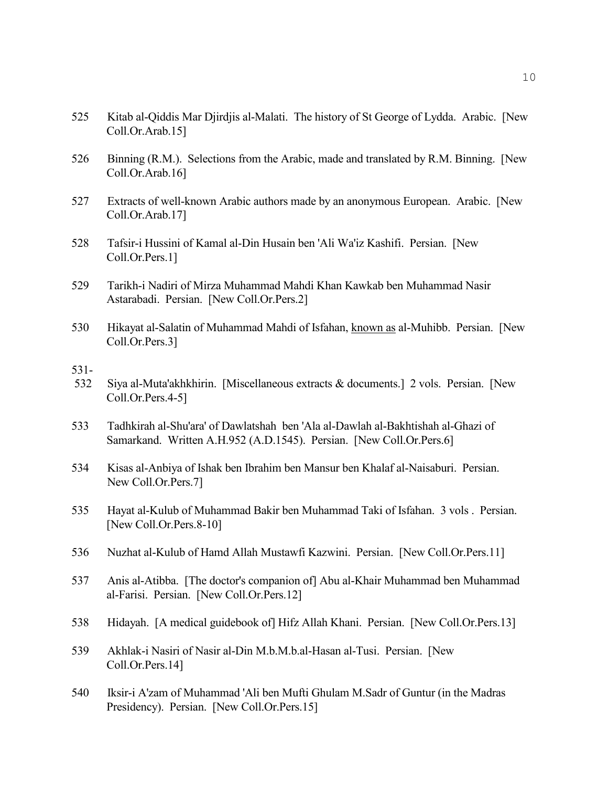- 525 Kitab al-Qiddis Mar Djirdjis al-Malati. The history of St George of Lydda. Arabic. [New Coll.Or.Arab.15]
- 526 Binning (R.M.). Selections from the Arabic, made and translated by R.M. Binning. [New Coll.Or.Arab.16]
- 527 Extracts of well-known Arabic authors made by an anonymous European. Arabic. [New Coll.Or.Arab.17]
- 528 Tafsir-i Hussini of Kamal al-Din Husain ben 'Ali Wa'iz Kashifi. Persian. [New Coll.Or.Pers.1]
- 529 Tarikh-i Nadiri of Mirza Muhammad Mahdi Khan Kawkab ben Muhammad Nasir Astarabadi. Persian. [New Coll.Or.Pers.2]
- 530 Hikayat al-Salatin of Muhammad Mahdi of Isfahan, known as al-Muhibb. Persian. [New Coll.Or.Pers.3]
- 531-
- 532 Siya al-Muta'akhkhirin. [Miscellaneous extracts & documents.] 2 vols. Persian. [New Coll.Or.Pers.4-5]
- 533 Tadhkirah al-Shu'ara' of Dawlatshah ben 'Ala al-Dawlah al-Bakhtishah al-Ghazi of Samarkand. Written A.H.952 (A.D.1545). Persian. [New Coll.Or.Pers.6]
- 534 Kisas al-Anbiya of Ishak ben Ibrahim ben Mansur ben Khalaf al-Naisaburi. Persian. New Coll.Or.Pers.7]
- 535 Hayat al-Kulub of Muhammad Bakir ben Muhammad Taki of Isfahan. 3 vols . Persian. [New Coll.Or.Pers.8-10]
- 536 Nuzhat al-Kulub of Hamd Allah Mustawfi Kazwini. Persian. [New Coll.Or.Pers.11]
- 537 Anis al-Atibba. [The doctor's companion of] Abu al-Khair Muhammad ben Muhammad al-Farisi. Persian. [New Coll.Or.Pers.12]
- 538 Hidayah. [A medical guidebook of] Hifz Allah Khani. Persian. [New Coll.Or.Pers.13]
- 539 Akhlak-i Nasiri of Nasir al-Din M.b.M.b.al-Hasan al-Tusi. Persian. [New Coll.Or.Pers.14]
- 540 Iksir-i A'zam of Muhammad 'Ali ben Mufti Ghulam M.Sadr of Guntur (in the Madras Presidency). Persian. [New Coll.Or.Pers.15]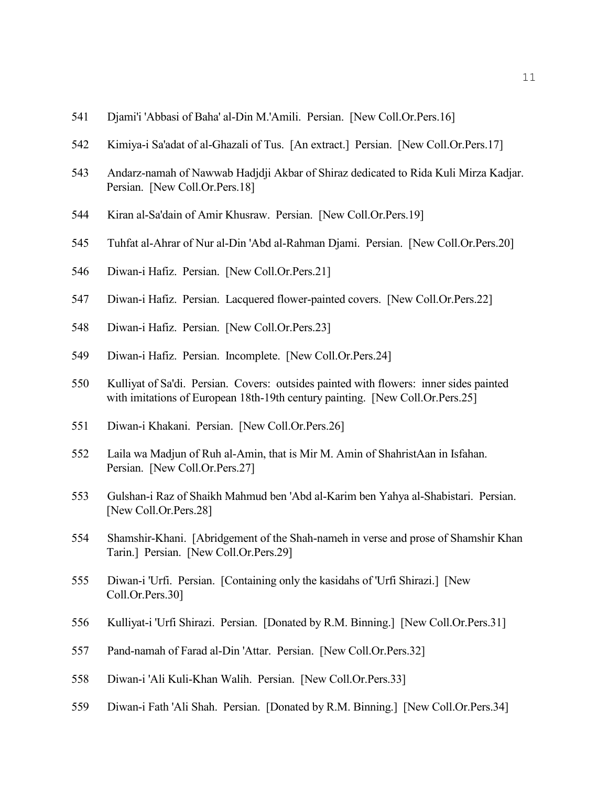- Djami'i 'Abbasi of Baha' al-Din M.'Amili. Persian. [New Coll.Or.Pers.16]
- Kimiya-i Sa'adat of al-Ghazali of Tus. [An extract.] Persian. [New Coll.Or.Pers.17]
- Andarz-namah of Nawwab Hadjdji Akbar of Shiraz dedicated to Rida Kuli Mirza Kadjar. Persian. [New Coll.Or.Pers.18]
- Kiran al-Sa'dain of Amir Khusraw. Persian. [New Coll.Or.Pers.19]
- Tuhfat al-Ahrar of Nur al-Din 'Abd al-Rahman Djami. Persian. [New Coll.Or.Pers.20]
- Diwan-i Hafiz. Persian. [New Coll.Or.Pers.21]
- Diwan-i Hafiz. Persian. Lacquered flower-painted covers. [New Coll.Or.Pers.22]
- Diwan-i Hafiz. Persian. [New Coll.Or.Pers.23]
- Diwan-i Hafiz. Persian. Incomplete. [New Coll.Or.Pers.24]
- Kulliyat of Sa'di. Persian. Covers: outsides painted with flowers: inner sides painted with imitations of European 18th-19th century painting. [New Coll.Or.Pers.25]
- Diwan-i Khakani. Persian. [New Coll.Or.Pers.26]
- Laila wa Madjun of Ruh al-Amin, that is Mir M. Amin of ShahristAan in Isfahan. Persian. [New Coll.Or.Pers.27]
- Gulshan-i Raz of Shaikh Mahmud ben 'Abd al-Karim ben Yahya al-Shabistari. Persian. [New Coll.Or.Pers.28]
- Shamshir-Khani. [Abridgement of the Shah-nameh in verse and prose of Shamshir Khan Tarin.] Persian. [New Coll.Or.Pers.29]
- Diwan-i 'Urfi. Persian. [Containing only the kasidahs of 'Urfi Shirazi.] [New Coll.Or.Pers.30]
- Kulliyat-i 'Urfi Shirazi. Persian. [Donated by R.M. Binning.] [New Coll.Or.Pers.31]
- Pand-namah of Farad al-Din 'Attar. Persian. [New Coll.Or.Pers.32]
- Diwan-i 'Ali Kuli-Khan Walih. Persian. [New Coll.Or.Pers.33]
- Diwan-i Fath 'Ali Shah. Persian. [Donated by R.M. Binning.] [New Coll.Or.Pers.34]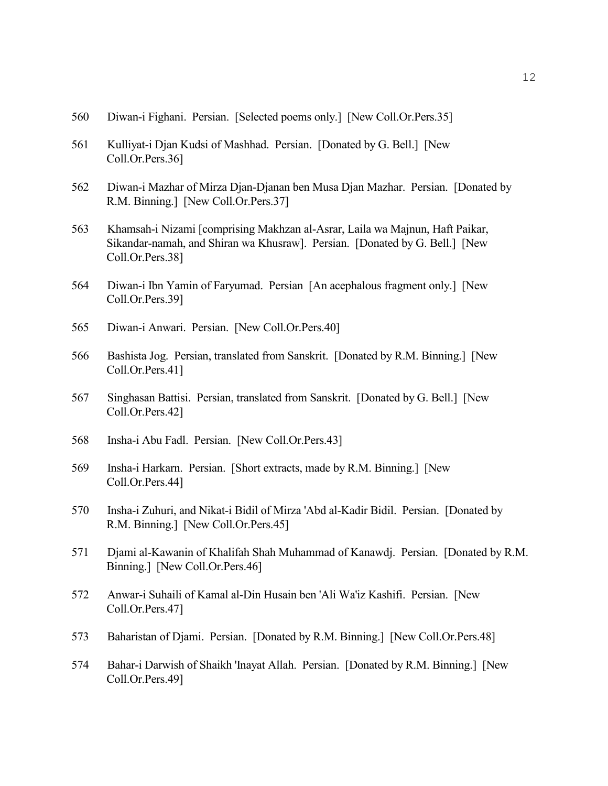- 560 Diwan-i Fighani. Persian. [Selected poems only.] [New Coll.Or.Pers.35]
- 561 Kulliyat-i Djan Kudsi of Mashhad. Persian. [Donated by G. Bell.] [New Coll.Or.Pers.36]
- 562 Diwan-i Mazhar of Mirza Djan-Djanan ben Musa Djan Mazhar. Persian. [Donated by R.M. Binning.] [New Coll.Or.Pers.37]
- 563 Khamsah-i Nizami [comprising Makhzan al-Asrar, Laila wa Majnun, Haft Paikar, Sikandar-namah, and Shiran wa Khusraw]. Persian. [Donated by G. Bell.] [New Coll.Or.Pers.38]
- 564 Diwan-i Ibn Yamin of Faryumad. Persian [An acephalous fragment only.] [New Coll.Or.Pers.39]
- 565 Diwan-i Anwari. Persian. [New Coll.Or.Pers.40]
- 566 Bashista Jog. Persian, translated from Sanskrit. [Donated by R.M. Binning.] [New Coll.Or.Pers.41]
- 567 Singhasan Battisi. Persian, translated from Sanskrit. [Donated by G. Bell.] [New Coll.Or.Pers.42]
- 568 Insha-i Abu Fadl. Persian. [New Coll.Or.Pers.43]
- 569 Insha-i Harkarn. Persian. [Short extracts, made by R.M. Binning.] [New Coll.Or.Pers.44]
- 570 Insha-i Zuhuri, and Nikat-i Bidil of Mirza 'Abd al-Kadir Bidil. Persian. [Donated by R.M. Binning.] [New Coll.Or.Pers.45]
- 571 Djami al-Kawanin of Khalifah Shah Muhammad of Kanawdj. Persian. [Donated by R.M. Binning.] [New Coll.Or.Pers.46]
- 572 Anwar-i Suhaili of Kamal al-Din Husain ben 'Ali Wa'iz Kashifi. Persian. [New Coll.Or.Pers.47]
- 573 Baharistan of Djami. Persian. [Donated by R.M. Binning.] [New Coll.Or.Pers.48]
- 574 Bahar-i Darwish of Shaikh 'Inayat Allah. Persian. [Donated by R.M. Binning.] [New Coll.Or.Pers.49]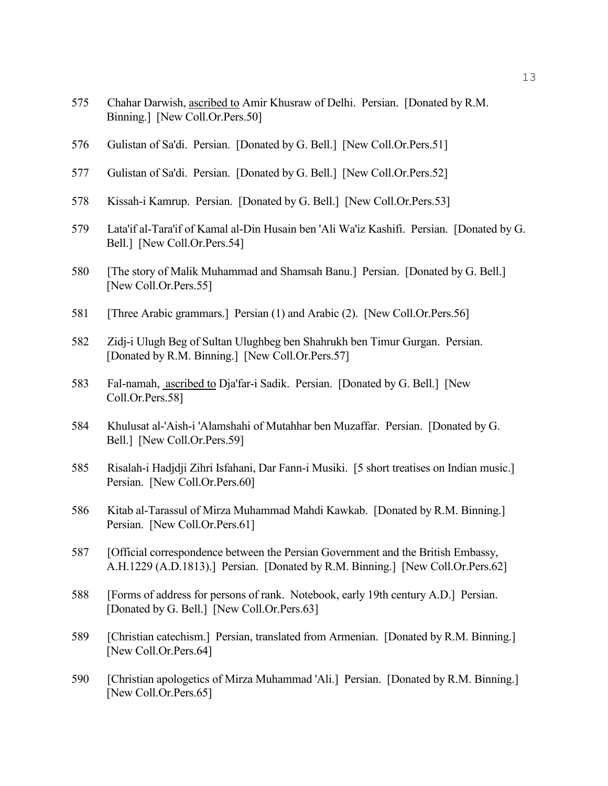- 575 Chahar Darwish, ascribed to Amir Khusraw of Delhi. Persian. [Donated by R.M. Binning.] [New Coll.Or.Pers.50]
- 576 Gulistan of Sa'di. Persian. [Donated by G. Bell.] [New Coll.Or.Pers.51]
- 577 Gulistan of Sa'di. Persian. [Donated by G. Bell.] [New Coll.Or.Pers.52]
- 578 Kissah-i Kamrup. Persian. [Donated by G. Bell.] [New Coll.Or.Pers.53]
- 579 Lata'if al-Tara'if of Kamal al-Din Husain ben 'Ali Wa'iz Kashifi. Persian. [Donated by G. Bell.] [New Coll.Or.Pers.54]
- 580 [The story of Malik Muhammad and Shamsah Banu.] Persian. [Donated by G. Bell.] [New Coll.Or.Pers.55]
- 581 [Three Arabic grammars.] Persian (1) and Arabic (2). [New Coll.Or.Pers.56]
- 582 Zidj-i Ulugh Beg of Sultan Ulughbeg ben Shahrukh ben Timur Gurgan. Persian. [Donated by R.M. Binning.] [New Coll.Or.Pers.57]
- 583 Fal-namah, ascribed to Dja'far-i Sadik. Persian. [Donated by G. Bell.] [New Coll.Or.Pers.58]
- 584 Khulusat al-'Aish-i 'Alamshahi of Mutahhar ben Muzaffar. Persian. [Donated by G. Bell.] [New Coll.Or.Pers.59]
- 585 Risalah-i Hadjdji Zihri Isfahani, Dar Fann-i Musiki. [5 short treatises on Indian music.] Persian. [New Coll.Or.Pers.60]
- 586 Kitab al-Tarassul of Mirza Muhammad Mahdi Kawkab. [Donated by R.M. Binning.] Persian. [New Coll.Or.Pers.61]
- 587 [Official correspondence between the Persian Government and the British Embassy, A.H.1229 (A.D.1813).] Persian. [Donated by R.M. Binning.] [New Coll.Or.Pers.62]
- 588 [Forms of address for persons of rank. Notebook, early 19th century A.D.] Persian. [Donated by G. Bell.] [New Coll.Or.Pers.63]
- 589 [Christian catechism.] Persian, translated from Armenian. [Donated by R.M. Binning.] [New Coll.Or.Pers.64]
- 590 [Christian apologetics of Mirza Muhammad 'Ali.] Persian. [Donated by R.M. Binning.] [New Coll.Or.Pers.65]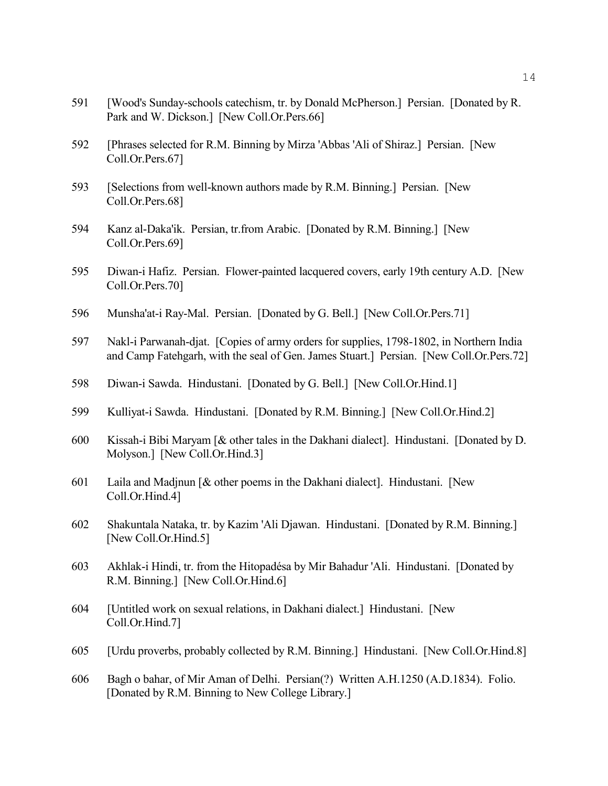- 591 [Wood's Sunday-schools catechism, tr. by Donald McPherson.] Persian. [Donated by R. Park and W. Dickson.] [New Coll.Or.Pers.66]
- 592 [Phrases selected for R.M. Binning by Mirza 'Abbas 'Ali of Shiraz.] Persian. [New Coll.Or.Pers.67]
- 593 [Selections from well-known authors made by R.M. Binning.] Persian. [New Coll.Or.Pers.68]
- 594 Kanz al-Daka'ik. Persian, tr.from Arabic. [Donated by R.M. Binning.] [New Coll.Or.Pers.69]
- 595 Diwan-i Hafiz. Persian. Flower-painted lacquered covers, early 19th century A.D. [New Coll.Or.Pers.70]
- 596 Munsha'at-i Ray-Mal. Persian. [Donated by G. Bell.] [New Coll.Or.Pers.71]
- 597 Nakl-i Parwanah-djat. [Copies of army orders for supplies, 1798-1802, in Northern India and Camp Fatehgarh, with the seal of Gen. James Stuart.] Persian. [New Coll.Or.Pers.72]
- 598 Diwan-i Sawda. Hindustani. [Donated by G. Bell.] [New Coll.Or.Hind.1]
- 599 Kulliyat-i Sawda. Hindustani. [Donated by R.M. Binning.] [New Coll.Or.Hind.2]
- 600 Kissah-i Bibi Maryam [& other tales in the Dakhani dialect]. Hindustani. [Donated by D. Molyson.] [New Coll.Or.Hind.3]
- 601 Laila and Madjnun [& other poems in the Dakhani dialect]. Hindustani. [New Coll.Or.Hind.4]
- 602 Shakuntala Nataka, tr. by Kazim 'Ali Djawan. Hindustani. [Donated by R.M. Binning.] [New Coll.Or.Hind.5]
- 603 Akhlak-i Hindi, tr. from the Hitopadésa by Mir Bahadur 'Ali. Hindustani. [Donated by R.M. Binning.] [New Coll.Or.Hind.6]
- 604 [Untitled work on sexual relations, in Dakhani dialect.] Hindustani. [New Coll.Or.Hind.7]
- 605 [Urdu proverbs, probably collected by R.M. Binning.] Hindustani. [New Coll.Or.Hind.8]
- 606 Bagh o bahar, of Mir Aman of Delhi. Persian(?) Written A.H.1250 (A.D.1834). Folio. [Donated by R.M. Binning to New College Library.]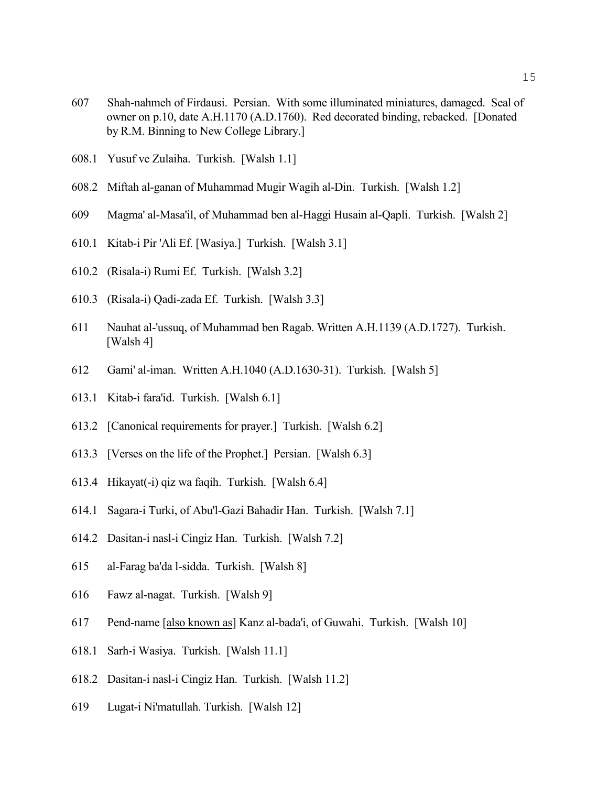- 607 Shah-nahmeh of Firdausi. Persian. With some illuminated miniatures, damaged. Seal of owner on p.10, date A.H.1170 (A.D.1760). Red decorated binding, rebacked. [Donated by R.M. Binning to New College Library.]
- 608.1 Yusuf ve Zulaiha. Turkish. [Walsh 1.1]
- 608.2 Miftah al-ganan of Muhammad Mugir Wagih al-Din. Turkish. [Walsh 1.2]
- 609 Magma' al-Masa'il, of Muhammad ben al-Haggi Husain al-Qapli. Turkish. [Walsh 2]
- 610.1 Kitab-i Pir 'Ali Ef. [Wasiya.] Turkish. [Walsh 3.1]
- 610.2 (Risala-i) Rumi Ef. Turkish. [Walsh 3.2]
- 610.3 (Risala-i) Qadi-zada Ef. Turkish. [Walsh 3.3]
- 611 Nauhat al-'ussuq, of Muhammad ben Ragab. Written A.H.1139 (A.D.1727). Turkish. [Walsh 4]
- 612 Gami' al-iman. Written A.H.1040 (A.D.1630-31). Turkish. [Walsh 5]
- 613.1 Kitab-i fara'id. Turkish. [Walsh 6.1]
- 613.2 [Canonical requirements for prayer.] Turkish. [Walsh 6.2]
- 613.3 [Verses on the life of the Prophet.] Persian. [Walsh 6.3]
- 613.4 Hikayat(-i) qiz wa faqih. Turkish. [Walsh 6.4]
- 614.1 Sagara-i Turki, of Abu'l-Gazi Bahadir Han. Turkish. [Walsh 7.1]
- 614.2 Dasitan-i nasl-i Cingiz Han. Turkish. [Walsh 7.2]
- 615 al-Farag ba'da l-sidda. Turkish. [Walsh 8]
- 616 Fawz al-nagat. Turkish. [Walsh 9]
- 617 Pend-name [also known as] Kanz al-bada'i, of Guwahi. Turkish. [Walsh 10]
- 618.1 Sarh-i Wasiya. Turkish. [Walsh 11.1]
- 618.2 Dasitan-i nasl-i Cingiz Han. Turkish. [Walsh 11.2]
- 619 Lugat-i Ni'matullah. Turkish. [Walsh 12]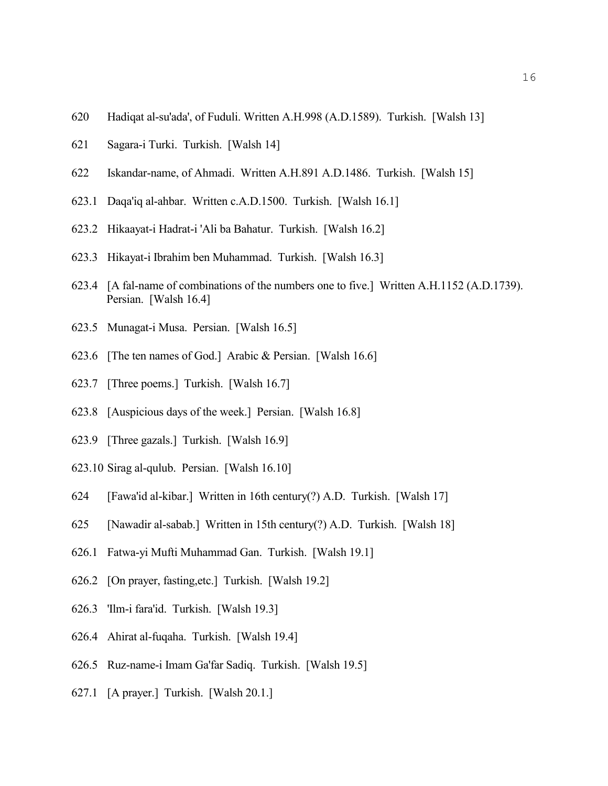- 620 Hadiqat al-su'ada', of Fuduli. Written A.H.998 (A.D.1589). Turkish. [Walsh 13]
- 621 Sagara-i Turki. Turkish. [Walsh 14]
- 622 Iskandar-name, of Ahmadi. Written A.H.891 A.D.1486. Turkish. [Walsh 15]
- 623.1 Daqa'iq al-ahbar. Written c.A.D.1500. Turkish. [Walsh 16.1]
- 623.2 Hikaayat-i Hadrat-i 'Ali ba Bahatur. Turkish. [Walsh 16.2]
- 623.3 Hikayat-i Ibrahim ben Muhammad. Turkish. [Walsh 16.3]
- 623.4 [A fal-name of combinations of the numbers one to five.] Written A.H.1152 (A.D.1739). Persian. [Walsh 16.4]
- 623.5 Munagat-i Musa. Persian. [Walsh 16.5]
- 623.6 [The ten names of God.] Arabic & Persian. [Walsh 16.6]
- 623.7 [Three poems.] Turkish. [Walsh 16.7]
- 623.8 [Auspicious days of the week.] Persian. [Walsh 16.8]
- 623.9 [Three gazals.] Turkish. [Walsh 16.9]
- 623.10 Sirag al-qulub. Persian. [Walsh 16.10]
- 624 [Fawa'id al-kibar.] Written in 16th century(?) A.D. Turkish. [Walsh 17]
- 625 [Nawadir al-sabab.] Written in 15th century(?) A.D. Turkish. [Walsh 18]
- 626.1 Fatwa-yi Mufti Muhammad Gan. Turkish. [Walsh 19.1]
- 626.2 [On prayer, fasting,etc.] Turkish. [Walsh 19.2]
- 626.3 'Ilm-i fara'id. Turkish. [Walsh 19.3]
- 626.4 Ahirat al-fuqaha. Turkish. [Walsh 19.4]
- 626.5 Ruz-name-i Imam Ga'far Sadiq. Turkish. [Walsh 19.5]
- 627.1 [A prayer.] Turkish. [Walsh 20.1.]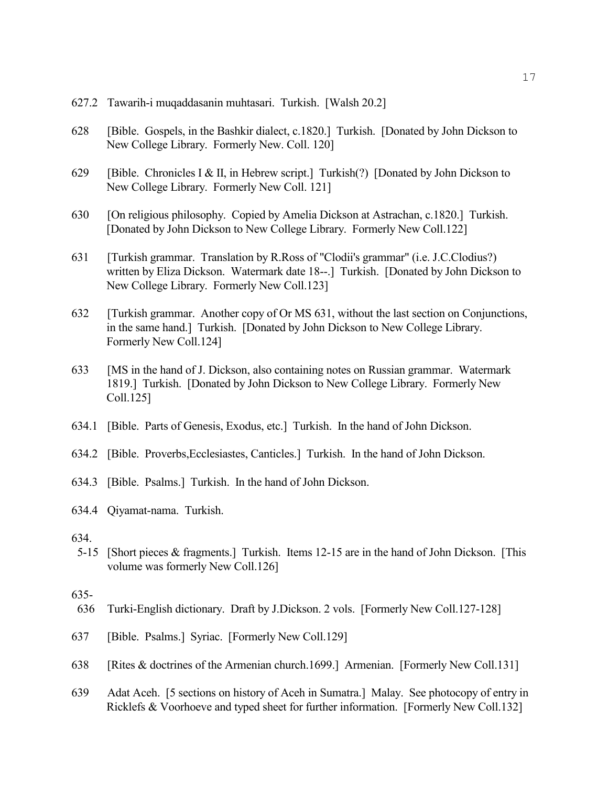- 627.2 Tawarih-i muqaddasanin muhtasari. Turkish. [Walsh 20.2]
- 628 [Bible. Gospels, in the Bashkir dialect, c.1820.] Turkish. [Donated by John Dickson to New College Library. Formerly New. Coll. 120]
- 629 [Bible. Chronicles I & II, in Hebrew script.] Turkish(?) [Donated by John Dickson to New College Library. Formerly New Coll. 121]
- 630 [On religious philosophy. Copied by Amelia Dickson at Astrachan, c.1820.] Turkish. [Donated by John Dickson to New College Library. Formerly New Coll.122]
- 631 [Turkish grammar. Translation by R.Ross of "Clodii's grammar" (i.e. J.C.Clodius?) written by Eliza Dickson. Watermark date 18--.] Turkish. [Donated by John Dickson to New College Library. Formerly New Coll.123]
- 632 [Turkish grammar. Another copy of Or MS 631, without the last section on Conjunctions, in the same hand.] Turkish. [Donated by John Dickson to New College Library. Formerly New Coll.124]
- 633 [MS in the hand of J. Dickson, also containing notes on Russian grammar. Watermark 1819.] Turkish. [Donated by John Dickson to New College Library. Formerly New Coll.125]
- 634.1 [Bible. Parts of Genesis, Exodus, etc.] Turkish. In the hand of John Dickson.
- 634.2 [Bible. Proverbs,Ecclesiastes, Canticles.] Turkish. In the hand of John Dickson.
- 634.3 [Bible. Psalms.] Turkish. In the hand of John Dickson.
- 634.4 Qiyamat-nama. Turkish.
- 634.
- 5-15 [Short pieces & fragments.] Turkish. Items 12-15 are in the hand of John Dickson. [This volume was formerly New Coll.126]

#### 635-

- 636 Turki-English dictionary. Draft by J.Dickson. 2 vols. [Formerly New Coll.127-128]
- 637 [Bible. Psalms.] Syriac. [Formerly New Coll.129]
- 638 [Rites & doctrines of the Armenian church.1699.] Armenian. [Formerly New Coll.131]
- 639 Adat Aceh. [5 sections on history of Aceh in Sumatra.] Malay. See photocopy of entry in Ricklefs & Voorhoeve and typed sheet for further information. [Formerly New Coll.132]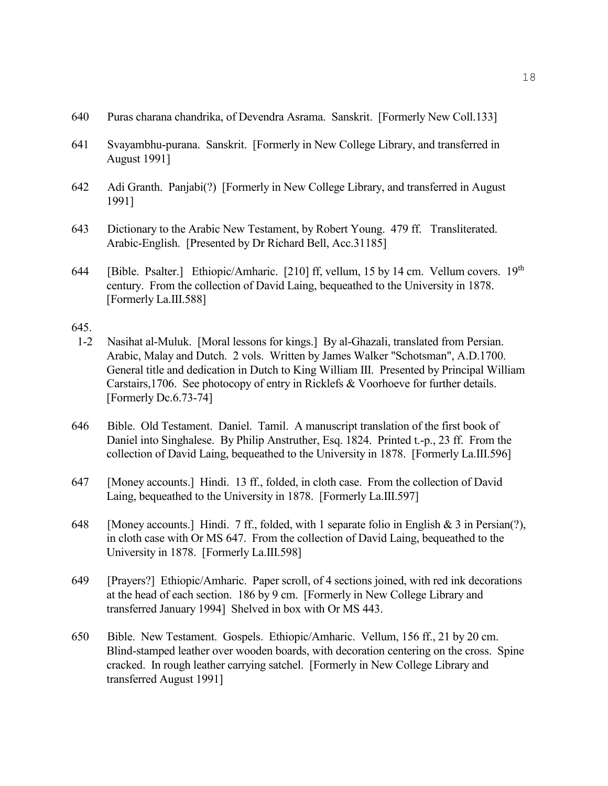- 640 Puras charana chandrika, of Devendra Asrama. Sanskrit. [Formerly New Coll.133]
- 641 Svayambhu-purana. Sanskrit. [Formerly in New College Library, and transferred in August 1991]
- 642 Adi Granth. Panjabi(?) [Formerly in New College Library, and transferred in August 1991]
- 643 Dictionary to the Arabic New Testament, by Robert Young. 479 ff. Transliterated. Arabic-English. [Presented by Dr Richard Bell, Acc.31185]
- 644 [Bible. Psalter.] Ethiopic/Amharic. [210] ff, vellum, 15 by 14 cm. Vellum covers. 19<sup>th</sup> century. From the collection of David Laing, bequeathed to the University in 1878. [Formerly La.III.588]

- 1-2 Nasihat al-Muluk. [Moral lessons for kings.] By al-Ghazali, translated from Persian. Arabic, Malay and Dutch. 2 vols. Written by James Walker "Schotsman", A.D.1700. General title and dedication in Dutch to King William III. Presented by Principal William Carstairs,1706. See photocopy of entry in Ricklefs & Voorhoeve for further details. [Formerly Dc.6.73-74]
- 646 Bible. Old Testament. Daniel. Tamil. A manuscript translation of the first book of Daniel into Singhalese. By Philip Anstruther, Esq. 1824. Printed t.-p., 23 ff. From the collection of David Laing, bequeathed to the University in 1878. [Formerly La.III.596]
- 647 [Money accounts.] Hindi. 13 ff., folded, in cloth case. From the collection of David Laing, bequeathed to the University in 1878. [Formerly La.III.597]
- 648 [Money accounts.] Hindi. 7 ff., folded, with 1 separate folio in English & 3 in Persian(?), in cloth case with Or MS 647. From the collection of David Laing, bequeathed to the University in 1878. [Formerly La.III.598]
- 649 [Prayers?] Ethiopic/Amharic. Paper scroll, of 4 sections joined, with red ink decorations at the head of each section. 186 by 9 cm. [Formerly in New College Library and transferred January 1994] Shelved in box with Or MS 443.
- 650 Bible. New Testament. Gospels. Ethiopic/Amharic. Vellum, 156 ff., 21 by 20 cm. Blind-stamped leather over wooden boards, with decoration centering on the cross. Spine cracked. In rough leather carrying satchel. [Formerly in New College Library and transferred August 1991]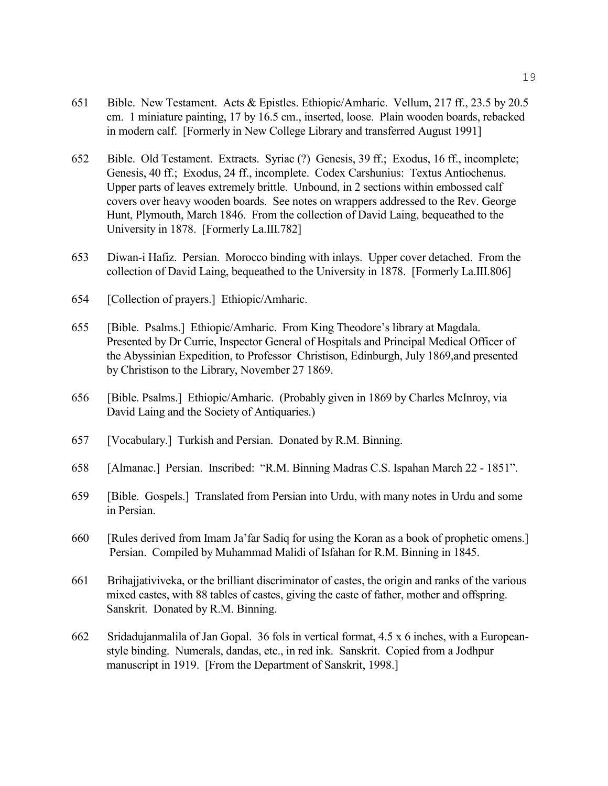- 651 Bible. New Testament. Acts & Epistles. Ethiopic/Amharic. Vellum, 217 ff., 23.5 by 20.5 cm. 1 miniature painting, 17 by 16.5 cm., inserted, loose. Plain wooden boards, rebacked in modern calf. [Formerly in New College Library and transferred August 1991]
- 652 Bible. Old Testament. Extracts. Syriac (?) Genesis, 39 ff.; Exodus, 16 ff., incomplete; Genesis, 40 ff.; Exodus, 24 ff., incomplete. Codex Carshunius: Textus Antiochenus. Upper parts of leaves extremely brittle. Unbound, in 2 sections within embossed calf covers over heavy wooden boards. See notes on wrappers addressed to the Rev. George Hunt, Plymouth, March 1846. From the collection of David Laing, bequeathed to the University in 1878. [Formerly La.III.782]
- 653 Diwan-i Hafiz. Persian. Morocco binding with inlays. Upper cover detached. From the collection of David Laing, bequeathed to the University in 1878. [Formerly La.III.806]
- 654 [Collection of prayers.] Ethiopic/Amharic.
- 655 [Bible. Psalms.] Ethiopic/Amharic. From King Theodore's library at Magdala. Presented by Dr Currie, Inspector General of Hospitals and Principal Medical Officer of the Abyssinian Expedition, to Professor Christison, Edinburgh, July 1869,and presented by Christison to the Library, November 27 1869.
- 656 [Bible. Psalms.] Ethiopic/Amharic. (Probably given in 1869 by Charles McInroy, via David Laing and the Society of Antiquaries.)
- 657 [Vocabulary.] Turkish and Persian. Donated by R.M. Binning.
- 658 [Almanac.] Persian. Inscribed: "R.M. Binning Madras C.S. Ispahan March 22 1851".
- 659 [Bible. Gospels.] Translated from Persian into Urdu, with many notes in Urdu and some in Persian.
- 660 [Rules derived from Imam Ja'far Sadiq for using the Koran as a book of prophetic omens.] Persian. Compiled by Muhammad Malidi of Isfahan for R.M. Binning in 1845.
- 661 Brihajjativiveka, or the brilliant discriminator of castes, the origin and ranks of the various mixed castes, with 88 tables of castes, giving the caste of father, mother and offspring. Sanskrit. Donated by R.M. Binning.
- 662 Sridadujanmalila of Jan Gopal. 36 fols in vertical format, 4.5 x 6 inches, with a Europeanstyle binding. Numerals, dandas, etc., in red ink. Sanskrit. Copied from a Jodhpur manuscript in 1919. [From the Department of Sanskrit, 1998.]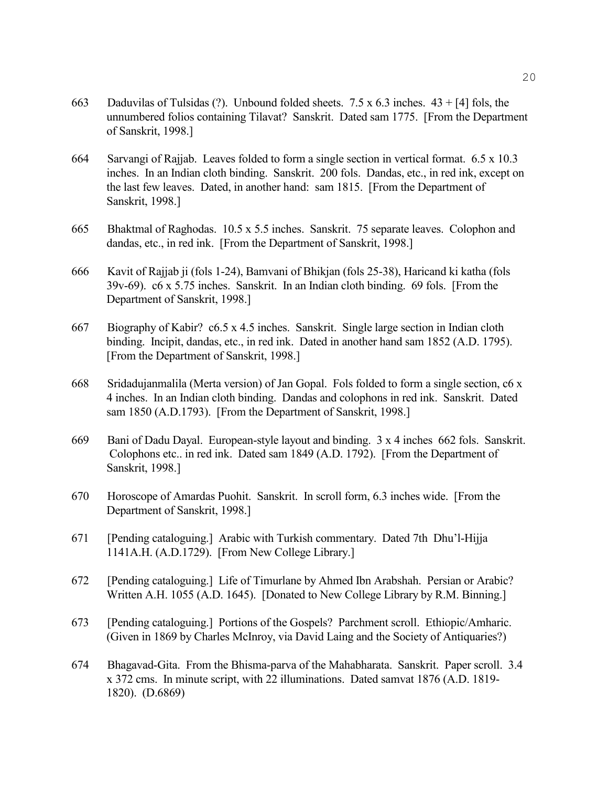- 663 Daduvilas of Tulsidas (?). Unbound folded sheets. 7.5 x 6.3 inches. 43 + [4] fols, the unnumbered folios containing Tilavat? Sanskrit. Dated sam 1775. [From the Department of Sanskrit, 1998.]
- 664 Sarvangi of Rajjab. Leaves folded to form a single section in vertical format. 6.5 x 10.3 inches. In an Indian cloth binding. Sanskrit. 200 fols. Dandas, etc., in red ink, except on the last few leaves. Dated, in another hand: sam 1815. [From the Department of Sanskrit, 1998.]
- 665 Bhaktmal of Raghodas. 10.5 x 5.5 inches. Sanskrit. 75 separate leaves. Colophon and dandas, etc., in red ink. [From the Department of Sanskrit, 1998.]
- 666 Kavit of Rajjab ji (fols 1-24), Bamvani of Bhikjan (fols 25-38), Haricand ki katha (fols 39v-69). c6 x 5.75 inches. Sanskrit. In an Indian cloth binding. 69 fols. [From the Department of Sanskrit, 1998.]
- 667 Biography of Kabir? c6.5 x 4.5 inches. Sanskrit. Single large section in Indian cloth binding. Incipit, dandas, etc., in red ink. Dated in another hand sam 1852 (A.D. 1795). [From the Department of Sanskrit, 1998.]
- 668 Sridadujanmalila (Merta version) of Jan Gopal. Fols folded to form a single section, c6 x 4 inches. In an Indian cloth binding. Dandas and colophons in red ink. Sanskrit. Dated sam 1850 (A.D.1793). [From the Department of Sanskrit, 1998.]
- 669 Bani of Dadu Dayal. European-style layout and binding. 3 x 4 inches 662 fols. Sanskrit. Colophons etc.. in red ink. Dated sam 1849 (A.D. 1792). [From the Department of Sanskrit, 1998.]
- 670 Horoscope of Amardas Puohit. Sanskrit. In scroll form, 6.3 inches wide. [From the Department of Sanskrit, 1998.]
- 671 [Pending cataloguing.] Arabic with Turkish commentary. Dated 7th Dhu'l-Hijja 1141A.H. (A.D.1729). [From New College Library.]
- 672 [Pending cataloguing.] Life of Timurlane by Ahmed Ibn Arabshah. Persian or Arabic? Written A.H. 1055 (A.D. 1645). [Donated to New College Library by R.M. Binning.]
- 673 [Pending cataloguing.] Portions of the Gospels? Parchment scroll. Ethiopic/Amharic. (Given in 1869 by Charles McInroy, via David Laing and the Society of Antiquaries?)
- 674 Bhagavad-Gita. From the Bhisma-parva of the Mahabharata. Sanskrit. Paper scroll. 3.4 x 372 cms. In minute script, with 22 illuminations. Dated samvat 1876 (A.D. 1819- 1820). (D.6869)